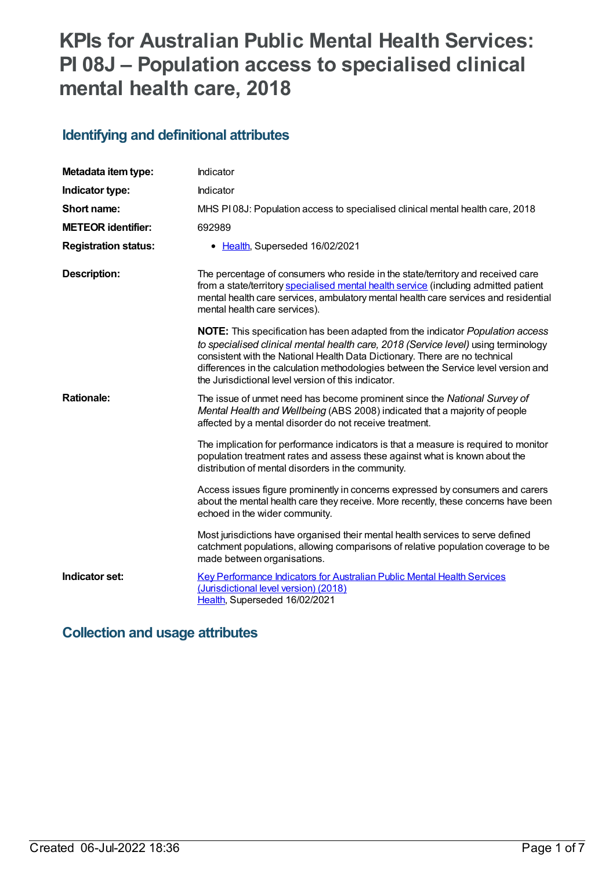# **KPIs for Australian Public Mental Health Services: PI 08J – Population access to specialised clinical mental health care, 2018**

## **Identifying and definitional attributes**

| Metadata item type:         | Indicator                                                                                                                                                                                                                                                                                                                                                                                        |
|-----------------------------|--------------------------------------------------------------------------------------------------------------------------------------------------------------------------------------------------------------------------------------------------------------------------------------------------------------------------------------------------------------------------------------------------|
| Indicator type:             | Indicator                                                                                                                                                                                                                                                                                                                                                                                        |
| Short name:                 | MHS PI08J: Population access to specialised clinical mental health care, 2018                                                                                                                                                                                                                                                                                                                    |
| <b>METEOR</b> identifier:   | 692989                                                                                                                                                                                                                                                                                                                                                                                           |
| <b>Registration status:</b> | • Health, Superseded 16/02/2021                                                                                                                                                                                                                                                                                                                                                                  |
| <b>Description:</b>         | The percentage of consumers who reside in the state/territory and received care<br>from a state/territory specialised mental health service (including admitted patient<br>mental health care services, ambulatory mental health care services and residential<br>mental health care services).                                                                                                  |
|                             | NOTE: This specification has been adapted from the indicator Population access<br>to specialised clinical mental health care, 2018 (Service level) using terminology<br>consistent with the National Health Data Dictionary. There are no technical<br>differences in the calculation methodologies between the Service level version and<br>the Jurisdictional level version of this indicator. |
| <b>Rationale:</b>           | The issue of unmet need has become prominent since the National Survey of<br>Mental Health and Wellbeing (ABS 2008) indicated that a majority of people<br>affected by a mental disorder do not receive treatment.                                                                                                                                                                               |
|                             | The implication for performance indicators is that a measure is required to monitor<br>population treatment rates and assess these against what is known about the<br>distribution of mental disorders in the community.                                                                                                                                                                         |
|                             | Access issues figure prominently in concerns expressed by consumers and carers<br>about the mental health care they receive. More recently, these concerns have been<br>echoed in the wider community.                                                                                                                                                                                           |
|                             | Most jurisdictions have organised their mental health services to serve defined<br>catchment populations, allowing comparisons of relative population coverage to be<br>made between organisations.                                                                                                                                                                                              |
| Indicator set:              | <b>Key Performance Indicators for Australian Public Mental Health Services</b><br>(Jurisdictional level version) (2018)<br>Health, Superseded 16/02/2021                                                                                                                                                                                                                                         |

## **Collection and usage attributes**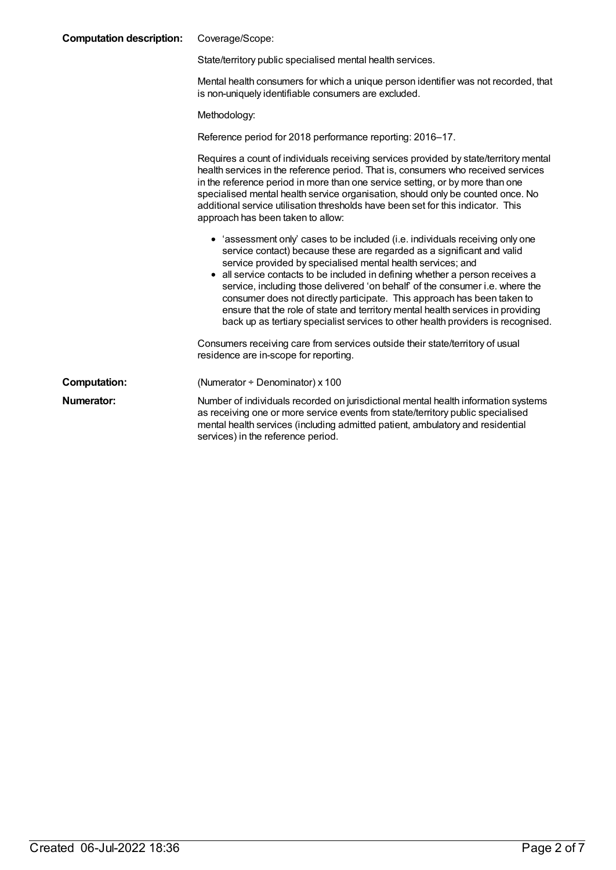| <b>Computation description:</b> | Coverage/Scope:                                                                                                                                                                                                                                                                                                                                                                                                                                                                                                                                                                                                                            |
|---------------------------------|--------------------------------------------------------------------------------------------------------------------------------------------------------------------------------------------------------------------------------------------------------------------------------------------------------------------------------------------------------------------------------------------------------------------------------------------------------------------------------------------------------------------------------------------------------------------------------------------------------------------------------------------|
|                                 | State/territory public specialised mental health services.                                                                                                                                                                                                                                                                                                                                                                                                                                                                                                                                                                                 |
|                                 | Mental health consumers for which a unique person identifier was not recorded, that<br>is non-uniquely identifiable consumers are excluded.                                                                                                                                                                                                                                                                                                                                                                                                                                                                                                |
|                                 | Methodology:                                                                                                                                                                                                                                                                                                                                                                                                                                                                                                                                                                                                                               |
|                                 | Reference period for 2018 performance reporting: 2016-17.                                                                                                                                                                                                                                                                                                                                                                                                                                                                                                                                                                                  |
|                                 | Requires a count of individuals receiving services provided by state/territory mental<br>health services in the reference period. That is, consumers who received services<br>in the reference period in more than one service setting, or by more than one<br>specialised mental health service organisation, should only be counted once. No<br>additional service utilisation thresholds have been set for this indicator. This<br>approach has been taken to allow:                                                                                                                                                                    |
|                                 | • 'assessment only' cases to be included (i.e. individuals receiving only one<br>service contact) because these are regarded as a significant and valid<br>service provided by specialised mental health services; and<br>• all service contacts to be included in defining whether a person receives a<br>service, including those delivered 'on behalf' of the consumer i.e. where the<br>consumer does not directly participate. This approach has been taken to<br>ensure that the role of state and territory mental health services in providing<br>back up as tertiary specialist services to other health providers is recognised. |
|                                 | Consumers receiving care from services outside their state/territory of usual<br>residence are in-scope for reporting.                                                                                                                                                                                                                                                                                                                                                                                                                                                                                                                     |
| <b>Computation:</b>             | (Numerator $\div$ Denominator) x 100                                                                                                                                                                                                                                                                                                                                                                                                                                                                                                                                                                                                       |
| Numerator:                      | Number of individuals recorded on jurisdictional mental health information systems<br>as receiving one or more service events from state/territory public specialised<br>mental health services (including admitted patient, ambulatory and residential<br>services) in the reference period.                                                                                                                                                                                                                                                                                                                                              |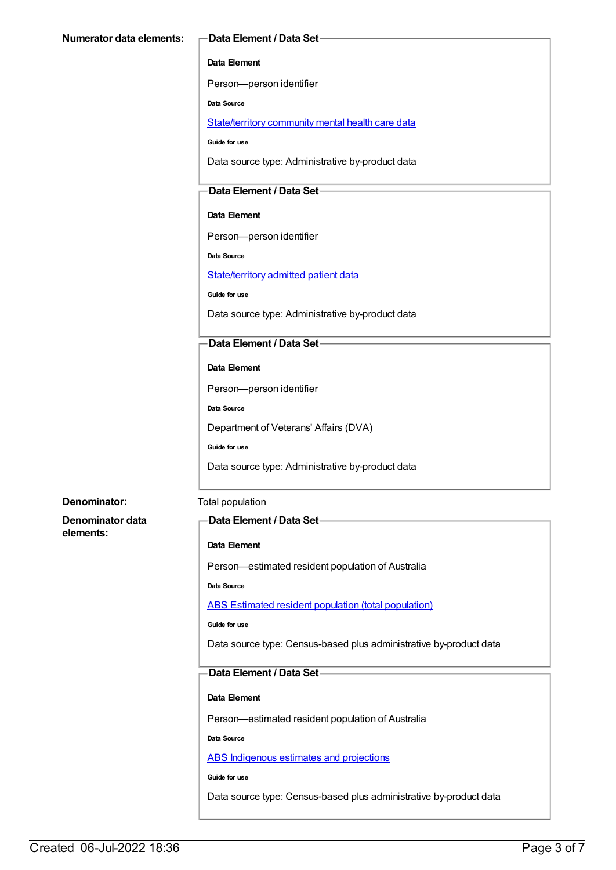#### **Data Element**

Person—person identifier

**Data Source**

[State/territory](file:///content/402135) community mental health care data

**Guide for use**

Data source type: Administrative by-product data

#### **Data Element / Data Set**

**Data Element**

Person—person identifier

**Data Source**

[State/territory](file:///content/426458) admitted patient data

**Guide for use**

Data source type: Administrative by-product data

#### **Data Element / Data Set**

#### **Data Element**

Person—person identifier

**Data Source**

Department of Veterans' Affairs (DVA)

**Guide for use**

Data source type: Administrative by-product data

#### **Denominator:** Total population

**Denominator data elements:**

#### **Data Element / Data Set**

#### **Data Element**

Person—estimated resident population of Australia

**Data Source**

ABS Estimated resident population (total [population\)](file:///content/393625)

**Guide for use**

Data source type: Census-based plus administrative by-product data

### **Data Element / Data Set**

#### **Data Element**

Person—estimated resident population of Australia

**Data Source**

ABS [Indigenous](file:///content/585472) estimates and projections

**Guide for use**

Data source type: Census-based plus administrative by-product data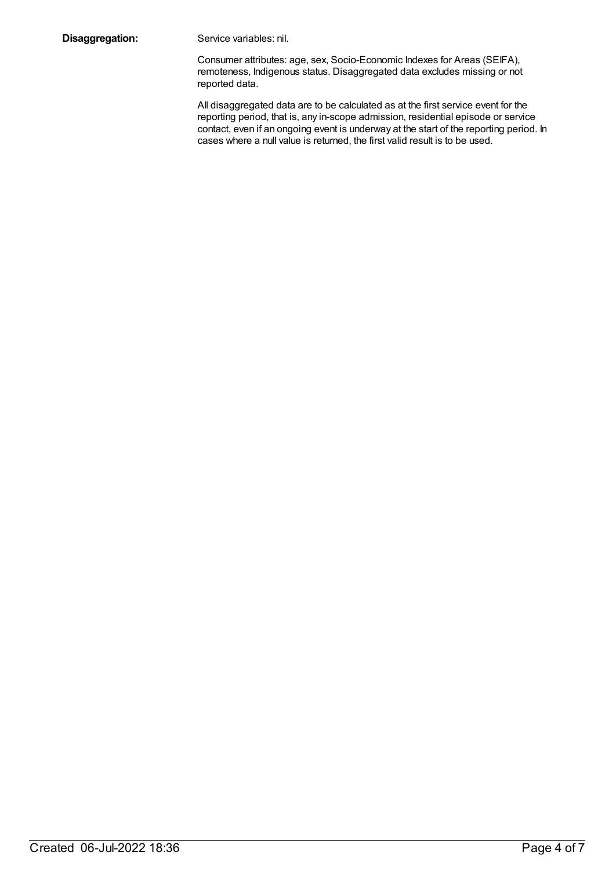**Disaggregation:** Service variables: nil.

Consumer attributes: age, sex, Socio-Economic Indexes for Areas (SEIFA), remoteness, Indigenous status. Disaggregated data excludes missing or not reported data.

All disaggregated data are to be calculated as at the first service event for the reporting period, that is, any in-scope admission, residential episode or service contact, even if an ongoing event is underway at the start of the reporting period. In cases where a null value is returned, the first valid result is to be used.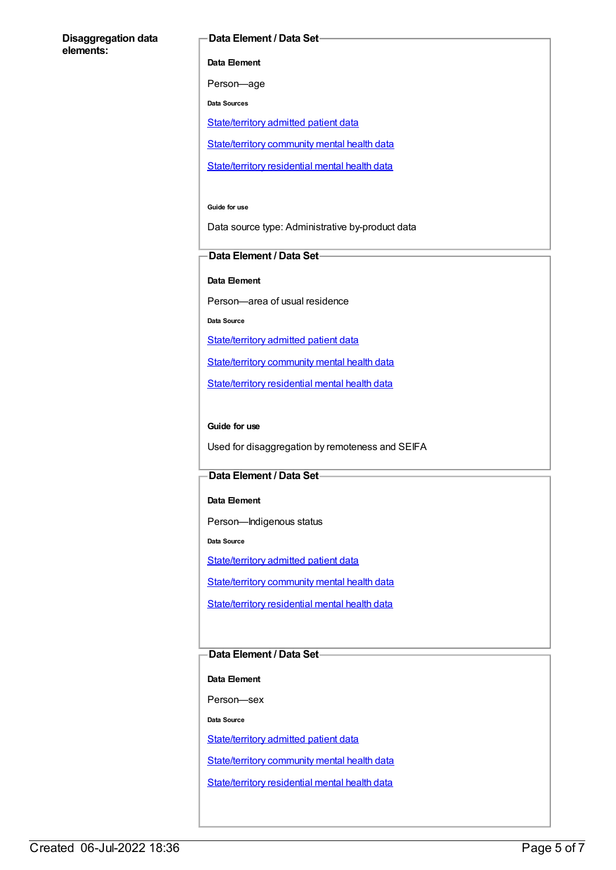#### **Disaggregation data elements:**

#### **Data Element / Data Set**

**Data Element**

Person—age

**Data Sources**

[State/territory](file:///content/426458) admitted patient data

[State/territory](file:///content/402135) community mental health data

[State/territory](file:///content/630460) residential mental health data

**Guide for use**

Data source type: Administrative by-product data

#### **Data Element / Data Set**

**Data Element**

Person—area of usual residence

**Data Source**

[State/territory](file:///content/426458) admitted patient data

[State/territory](file:///content/402135) community mental health data

[State/territory](file:///content/630460) residential mental health data

#### **Guide for use**

Used for disaggregation by remoteness and SEIFA

#### **Data Element / Data Set**

**Data Element**

Person—Indigenous status

**Data Source**

[State/territory](file:///content/426458) admitted patient data

[State/territory](file:///content/402135) community mental health data

[State/territory](file:///content/630460) residential mental health data

### **Data Element / Data Set**

**Data Element**

Person—sex

**Data Source**

[State/territory](file:///content/426458) admitted patient data

[State/territory](file:///content/402135) community mental health data

[State/territory](file:///content/630460) residential mental health data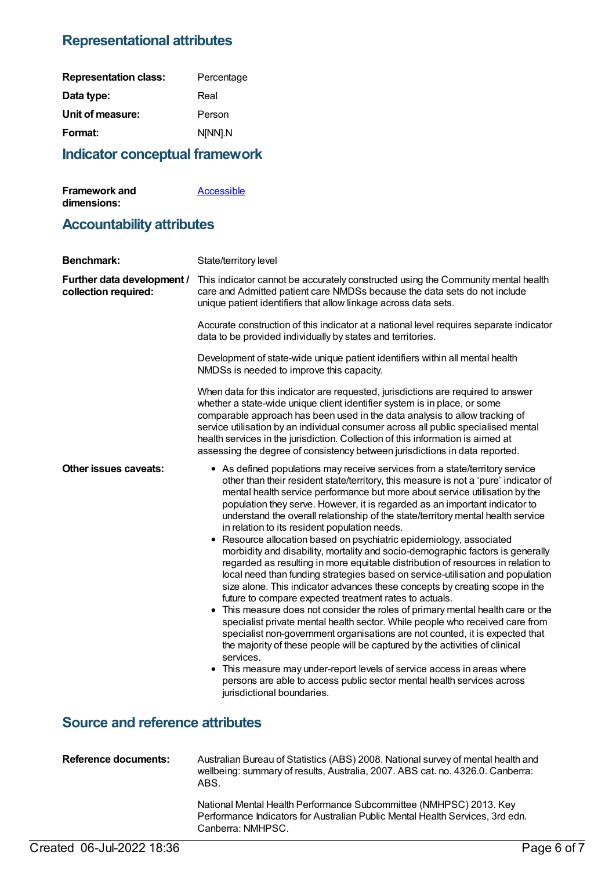## **Representational attributes**

| <b>Representation class:</b> | Percentage |
|------------------------------|------------|
| Data type:                   | Real       |
| Unit of measure:             | Person     |
| Format:                      | N[NN].N    |
|                              |            |

## **Indicator conceptual framework**

| <b>Framework and</b> | Accessible |
|----------------------|------------|
| dimensions:          |            |

## **Accountability attributes**

| <b>Benchmark:</b>                                  | State/territory level                                                                                                                                                                                                                                                                                                                                                                                                                                                                                                                                                                                                                                                                                                                                                                                                                                                                                                                                                                                                                                                                                                                                                                                                                                                                                                                                                                                                                                                             |  |
|----------------------------------------------------|-----------------------------------------------------------------------------------------------------------------------------------------------------------------------------------------------------------------------------------------------------------------------------------------------------------------------------------------------------------------------------------------------------------------------------------------------------------------------------------------------------------------------------------------------------------------------------------------------------------------------------------------------------------------------------------------------------------------------------------------------------------------------------------------------------------------------------------------------------------------------------------------------------------------------------------------------------------------------------------------------------------------------------------------------------------------------------------------------------------------------------------------------------------------------------------------------------------------------------------------------------------------------------------------------------------------------------------------------------------------------------------------------------------------------------------------------------------------------------------|--|
| Further data development /<br>collection required: | This indicator cannot be accurately constructed using the Community mental health<br>care and Admitted patient care NMDSs because the data sets do not include<br>unique patient identifiers that allow linkage across data sets.                                                                                                                                                                                                                                                                                                                                                                                                                                                                                                                                                                                                                                                                                                                                                                                                                                                                                                                                                                                                                                                                                                                                                                                                                                                 |  |
|                                                    | Accurate construction of this indicator at a national level requires separate indicator<br>data to be provided individually by states and territories.                                                                                                                                                                                                                                                                                                                                                                                                                                                                                                                                                                                                                                                                                                                                                                                                                                                                                                                                                                                                                                                                                                                                                                                                                                                                                                                            |  |
|                                                    | Development of state-wide unique patient identifiers within all mental health<br>NMDSs is needed to improve this capacity.                                                                                                                                                                                                                                                                                                                                                                                                                                                                                                                                                                                                                                                                                                                                                                                                                                                                                                                                                                                                                                                                                                                                                                                                                                                                                                                                                        |  |
|                                                    | When data for this indicator are requested, jurisdictions are required to answer<br>whether a state-wide unique client identifier system is in place, or some<br>comparable approach has been used in the data analysis to allow tracking of<br>service utilisation by an individual consumer across all public specialised mental<br>health services in the jurisdiction. Collection of this information is aimed at<br>assessing the degree of consistency between jurisdictions in data reported.                                                                                                                                                                                                                                                                                                                                                                                                                                                                                                                                                                                                                                                                                                                                                                                                                                                                                                                                                                              |  |
| <b>Other issues caveats:</b>                       | • As defined populations may receive services from a state/territory service<br>other than their resident state/territory, this measure is not a 'pure' indicator of<br>mental health service performance but more about service utilisation by the<br>population they serve. However, it is regarded as an important indicator to<br>understand the overall relationship of the state/territory mental health service<br>in relation to its resident population needs.<br>• Resource allocation based on psychiatric epidemiology, associated<br>morbidity and disability, mortality and socio-demographic factors is generally<br>regarded as resulting in more equitable distribution of resources in relation to<br>local need than funding strategies based on service-utilisation and population<br>size alone. This indicator advances these concepts by creating scope in the<br>future to compare expected treatment rates to actuals.<br>• This measure does not consider the roles of primary mental health care or the<br>specialist private mental health sector. While people who received care from<br>specialist non-government organisations are not counted, it is expected that<br>the majority of these people will be captured by the activities of clinical<br>services.<br>• This measure may under-report levels of service access in areas where<br>persons are able to access public sector mental health services across<br>jurisdictional boundaries. |  |
| <b>Source and reference attributes</b>             |                                                                                                                                                                                                                                                                                                                                                                                                                                                                                                                                                                                                                                                                                                                                                                                                                                                                                                                                                                                                                                                                                                                                                                                                                                                                                                                                                                                                                                                                                   |  |
| <b>Reference documents:</b>                        | Australian Bureau of Statistics (ABS) 2008. National survey of mental health and<br>wellbeing: summary of results, Australia, 2007. ABS cat. no. 4326.0. Canberra:<br>ABS.                                                                                                                                                                                                                                                                                                                                                                                                                                                                                                                                                                                                                                                                                                                                                                                                                                                                                                                                                                                                                                                                                                                                                                                                                                                                                                        |  |
|                                                    | National Mental Health Performance Subcommittee (NMHPSC) 2013. Key                                                                                                                                                                                                                                                                                                                                                                                                                                                                                                                                                                                                                                                                                                                                                                                                                                                                                                                                                                                                                                                                                                                                                                                                                                                                                                                                                                                                                |  |

Performance Indicators for Australian Public Mental Health Services, 3rd edn.

Canberra: NMHPSC.